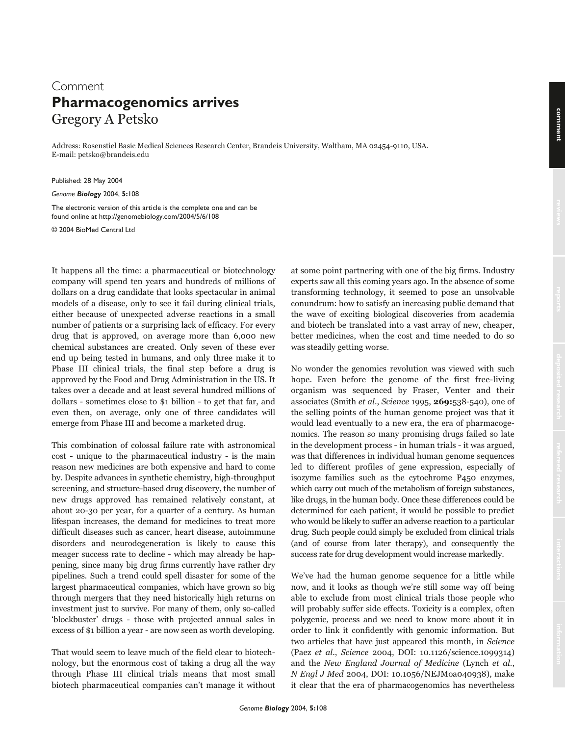## Comment **Pharmacogenomics arrives** Gregory A Petsko

Address: Rosenstiel Basic Medical Sciences Research Center, Brandeis University, Waltham, MA 02454-9110, USA. E-mail: petsko@brandeis.edu

Published: 28 May 2004

*Genome Biology* 2004, **5:**108

The electronic version of this article is the complete one and can be found online at http://genomebiology.com/2004/5/6/108

© 2004 BioMed Central Ltd

It happens all the time: a pharmaceutical or biotechnology company will spend ten years and hundreds of millions of dollars on a drug candidate that looks spectacular in animal models of a disease, only to see it fail during clinical trials, either because of unexpected adverse reactions in a small number of patients or a surprising lack of efficacy. For every drug that is approved, on average more than 6,000 new chemical substances are created. Only seven of these ever end up being tested in humans, and only three make it to Phase III clinical trials, the final step before a drug is approved by the Food and Drug Administration in the US. It takes over a decade and at least several hundred millions of dollars - sometimes close to \$1 billion - to get that far, and even then, on average, only one of three candidates will emerge from Phase III and become a marketed drug.

This combination of colossal failure rate with astronomical cost - unique to the pharmaceutical industry - is the main reason new medicines are both expensive and hard to come by. Despite advances in synthetic chemistry, high-throughput screening, and structure-based drug discovery, the number of new drugs approved has remained relatively constant, at about 20-30 per year, for a quarter of a century. As human lifespan increases, the demand for medicines to treat more difficult diseases such as cancer, heart disease, autoimmune disorders and neurodegeneration is likely to cause this meager success rate to decline - which may already be happening, since many big drug firms currently have rather dry pipelines. Such a trend could spell disaster for some of the largest pharmaceutical companies, which have grown so big through mergers that they need historically high returns on investment just to survive. For many of them, only so-called 'blockbuster' drugs - those with projected annual sales in excess of \$1 billion a year - are now seen as worth developing.

That would seem to leave much of the field clear to biotechnology, but the enormous cost of taking a drug all the way through Phase III clinical trials means that most small biotech pharmaceutical companies can't manage it without at some point partnering with one of the big firms. Industry experts saw all this coming years ago. In the absence of some transforming technology, it seemed to pose an unsolvable conundrum: how to satisfy an increasing public demand that the wave of exciting biological discoveries from academia and biotech be translated into a vast array of new, cheaper, better medicines, when the cost and time needed to do so was steadily getting worse.

No wonder the genomics revolution was viewed with such hope. Even before the genome of the first free-living organism was sequenced by Fraser, Venter and their associates (Smith et al., Science 1995, 269:538-540), one of the selling points of the human genome project was that it would lead eventually to a new era, the era of pharmacogenomics. The reason so many promising drugs failed so late in the development process - in human trials - it was argued, was that differences in individual human genome sequences led to different profiles of gene expression, especially of isozyme families such as the cytochrome P450 enzymes, which carry out much of the metabolism of foreign substances, like drugs, in the human body. Once these differences could be determined for each patient, it would be possible to predict who would be likely to suffer an adverse reaction to a particular drug. Such people could simply be excluded from clinical trials (and of course from later therapy), and consequently the success rate for drug development would increase markedly.

We've had the human genome sequence for a little while now, and it looks as though we're still some way off being able to exclude from most clinical trials those people who will probably suffer side effects. Toxicity is a complex, often polygenic, process and we need to know more about it in order to link it confidently with genomic information. But two articles that have just appeared this month, in Science (Paez et al., Science 2004, DOI: 10.1126/science.1099314) and the New England Journal of Medicine (Lynch et al., N Engl J Med 2004, DOI: 10.1056/NEJMoa040938), make it clear that the era of pharmacogenomics has nevertheless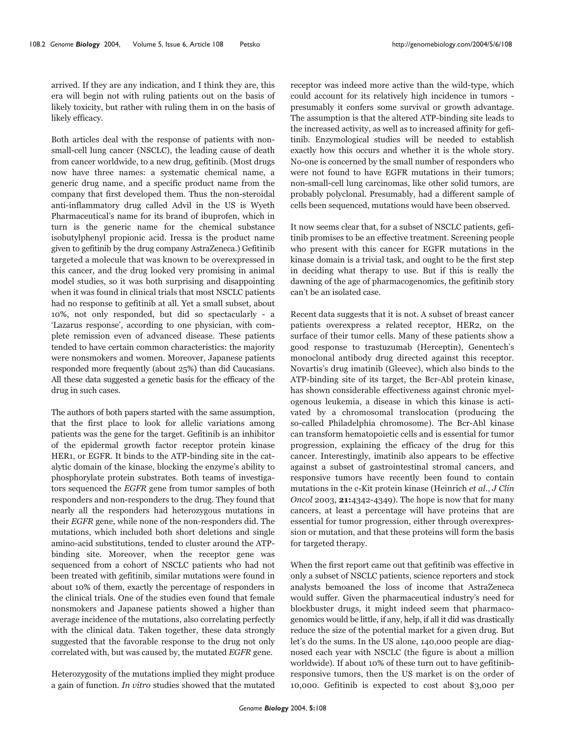arrived. If they are any indication, and I think they are, this era will begin not with ruling patients out on the basis of likely toxicity, but rather with ruling them in on the basis of likely efficacy.

Both articles deal with the response of patients with nonsmall-cell lung cancer (NSCLC), the leading cause of death from cancer worldwide, to a new drug, gefitinib. (Most drugs now have three names: a systematic chemical name, a generic drug name, and a specific product name from the company that first developed them. Thus the non-steroidal anti-inflammatory drug called Advil in the US is Wyeth Pharmaceutical's name for its brand of ibuprofen, which in turn is the generic name for the chemical substance isobutylphenyl propionic acid. Iressa is the product name given to gefitinib by the drug company AstraZeneca.) Gefitinib targeted a molecule that was known to be overexpressed in this cancer, and the drug looked very promising in animal model studies, so it was both surprising and disappointing when it was found in clinical trials that most NSCLC patients had no response to gefitinib at all. Yet a small subset, about 10%, not only responded, but did so spectacularly - a 'Lazarus response', according to one physician, with complete remission even of advanced disease. These patients tended to have certain common characteristics: the majority were nonsmokers and women. Moreover, Japanese patients responded more frequently (about 25%) than did Caucasians. All these data suggested a genetic basis for the efficacy of the drug in such cases.

The authors of both papers started with the same assumption, that the first place to look for allelic variations among patients was the gene for the target. Gefitinib is an inhibitor of the epidermal growth factor receptor protein kinase HER1, or EGFR. It binds to the ATP-binding site in the catalytic domain of the kinase, blocking the enzyme's ability to phosphorylate protein substrates. Both teams of investigators sequenced the EGFR gene from tumor samples of both responders and non-responders to the drug. They found that nearly all the responders had heterozygous mutations in their EGFR gene, while none of the non-responders did. The mutations, which included both short deletions and single amino-acid substitutions, tended to cluster around the ATPbinding site. Moreover, when the receptor gene was sequenced from a cohort of NSCLC patients who had not been treated with gefitinib, similar mutations were found in about 10% of them, exactly the percentage of responders in the clinical trials. One of the studies even found that female nonsmokers and Japanese patients showed a higher than average incidence of the mutations, also correlating perfectly with the clinical data. Taken together, these data strongly suggested that the favorable response to the drug not only correlated with, but was caused by, the mutated EGFR gene.

Heterozygosity of the mutations implied they might produce a gain of function. In vitro studies showed that the mutated receptor was indeed more active than the wild-type, which could account for its relatively high incidence in tumors presumably it confers some survival or growth advantage. The assumption is that the altered ATP-binding site leads to the increased activity, as well as to increased affinity for gefitinib. Enzymological studies will be needed to establish exactly how this occurs and whether it is the whole story. No-one is concerned by the small number of responders who were not found to have EGFR mutations in their tumors; non-small-cell lung carcinomas, like other solid tumors, are probably polyclonal. Presumably, had a different sample of cells been sequenced, mutations would have been observed.

It now seems clear that, for a subset of NSCLC patients, gefitinib promises to be an effective treatment. Screening people who present with this cancer for EGFR mutations in the kinase domain is a trivial task, and ought to be the first step in deciding what therapy to use. But if this is really the dawning of the age of pharmacogenomics, the gefitinib story can't be an isolated case.

Recent data suggests that it is not. A subset of breast cancer patients overexpress a related receptor, HER2, on the surface of their tumor cells. Many of these patients show a good response to trastuzumab (Herceptin), Genentech's monoclonal antibody drug directed against this receptor. Novartis's drug imatinib (Gleevec), which also binds to the ATP-binding site of its target, the Bcr-Abl protein kinase, has shown considerable effectiveness against chronic myelogenous leukemia, a disease in which this kinase is activated by a chromosomal translocation (producing the so-called Philadelphia chromosome). The Bcr-Abl kinase can transform hematopoietic cells and is essential for tumor progression, explaining the efficacy of the drug for this cancer. Interestingly, imatinib also appears to be effective against a subset of gastrointestinal stromal cancers, and responsive tumors have recently been found to contain mutations in the c-Kit protein kinase (Heinrich et al., J Clin Oncol 2003, 21:4342-4349). The hope is now that for many cancers, at least a percentage will have proteins that are essential for tumor progression, either through overexpression or mutation, and that these proteins will form the basis for targeted therapy.

When the first report came out that gefitinib was effective in only a subset of NSCLC patients, science reporters and stock analysts bemoaned the loss of income that AstraZeneca would suffer. Given the pharmaceutical industry's need for blockbuster drugs, it might indeed seem that pharmacogenomics would be little, if any, help, if all it did was drastically reduce the size of the potential market for a given drug. But let's do the sums. In the US alone, 140,000 people are diagnosed each year with NSCLC (the figure is about a million worldwide). If about 10% of these turn out to have gefitinibresponsive tumors, then the US market is on the order of 10,000. Gefitinib is expected to cost about \$3,000 per